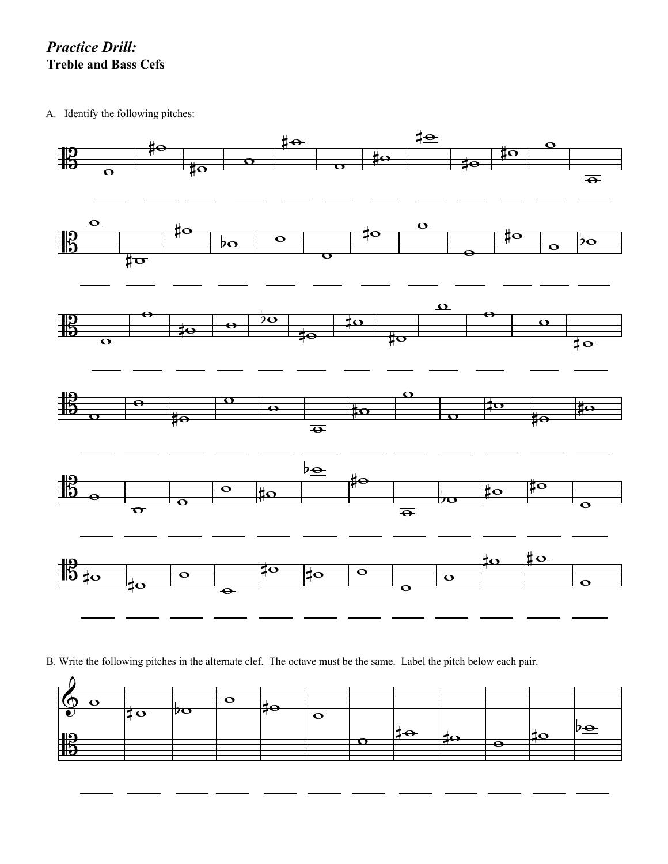*Practice Drill:* **Treble and Bass Cefs**

A. Identify the following pitches:



B. Write the following pitches in the alternate clef. The octave must be the same. Label the pitch below each pair.

| н  |    |  |    |              |    |                 |     |   |   |               |
|----|----|--|----|--------------|----|-----------------|-----|---|---|---------------|
| o  |    |  | ÆΘ |              |    |                 |     |   |   |               |
|    | 10 |  |    | $\bf \sigma$ |    |                 |     |   |   |               |
| HB |    |  |    |              |    | $\tau_{\Theta}$ | :He |   | C | $\frac{1}{2}$ |
|    |    |  |    |              | Œν |                 |     | A |   |               |
|    |    |  |    |              |    |                 |     |   |   |               |
|    |    |  |    |              |    |                 |     |   |   |               |